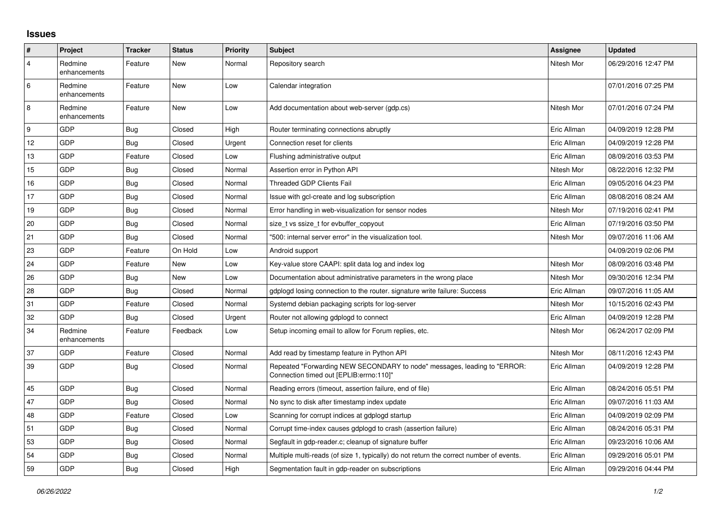## **Issues**

| #              | Project                 | <b>Tracker</b> | <b>Status</b> | Priority | <b>Subject</b>                                                                                                      | <b>Assignee</b> | <b>Updated</b>      |
|----------------|-------------------------|----------------|---------------|----------|---------------------------------------------------------------------------------------------------------------------|-----------------|---------------------|
| $\overline{4}$ | Redmine<br>enhancements | Feature        | New           | Normal   | Repository search                                                                                                   | Nitesh Mor      | 06/29/2016 12:47 PM |
| 6              | Redmine<br>enhancements | Feature        | New           | Low      | Calendar integration                                                                                                |                 | 07/01/2016 07:25 PM |
| $\overline{8}$ | Redmine<br>enhancements | Feature        | New           | Low      | Add documentation about web-server (gdp.cs)                                                                         | Nitesh Mor      | 07/01/2016 07:24 PM |
| 9              | GDP                     | Bug            | Closed        | High     | Router terminating connections abruptly                                                                             | Eric Allman     | 04/09/2019 12:28 PM |
| 12             | GDP                     | Bug            | Closed        | Urgent   | Connection reset for clients                                                                                        | Eric Allman     | 04/09/2019 12:28 PM |
| 13             | GDP                     | Feature        | Closed        | Low      | Flushing administrative output                                                                                      | Eric Allman     | 08/09/2016 03:53 PM |
| 15             | GDP                     | <b>Bug</b>     | Closed        | Normal   | Assertion error in Python API                                                                                       | Nitesh Mor      | 08/22/2016 12:32 PM |
| 16             | GDP                     | <b>Bug</b>     | Closed        | Normal   | <b>Threaded GDP Clients Fail</b>                                                                                    | Eric Allman     | 09/05/2016 04:23 PM |
| 17             | GDP                     | Bug            | Closed        | Normal   | Issue with gcl-create and log subscription                                                                          | Eric Allman     | 08/08/2016 08:24 AM |
| 19             | GDP                     | <b>Bug</b>     | Closed        | Normal   | Error handling in web-visualization for sensor nodes                                                                | Nitesh Mor      | 07/19/2016 02:41 PM |
| 20             | GDP                     | Bug            | Closed        | Normal   | size t vs ssize t for evbuffer copyout                                                                              | Eric Allman     | 07/19/2016 03:50 PM |
| 21             | GDP                     | <b>Bug</b>     | Closed        | Normal   | '500: internal server error" in the visualization tool.                                                             | Nitesh Mor      | 09/07/2016 11:06 AM |
| 23             | GDP                     | Feature        | On Hold       | Low      | Android support                                                                                                     |                 | 04/09/2019 02:06 PM |
| 24             | GDP                     | Feature        | New           | Low      | Key-value store CAAPI: split data log and index log                                                                 | Nitesh Mor      | 08/09/2016 03:48 PM |
| 26             | GDP                     | Bug            | New           | Low      | Documentation about administrative parameters in the wrong place                                                    | Nitesh Mor      | 09/30/2016 12:34 PM |
| 28             | GDP                     | Bug            | Closed        | Normal   | gdplogd losing connection to the router, signature write failure: Success                                           | Eric Allman     | 09/07/2016 11:05 AM |
| 31             | GDP                     | Feature        | Closed        | Normal   | Systemd debian packaging scripts for log-server                                                                     | Nitesh Mor      | 10/15/2016 02:43 PM |
| 32             | GDP                     | <b>Bug</b>     | Closed        | Urgent   | Router not allowing gdplogd to connect                                                                              | Eric Allman     | 04/09/2019 12:28 PM |
| 34             | Redmine<br>enhancements | Feature        | Feedback      | Low      | Setup incoming email to allow for Forum replies, etc.                                                               | Nitesh Mor      | 06/24/2017 02:09 PM |
| 37             | GDP                     | Feature        | Closed        | Normal   | Add read by timestamp feature in Python API                                                                         | Nitesh Mor      | 08/11/2016 12:43 PM |
| 39             | GDP                     | <b>Bug</b>     | Closed        | Normal   | Repeated "Forwarding NEW SECONDARY to node" messages, leading to "ERROR:<br>Connection timed out [EPLIB:errno:110]" | Eric Allman     | 04/09/2019 12:28 PM |
| 45             | GDP                     | Bug            | Closed        | Normal   | Reading errors (timeout, assertion failure, end of file)                                                            | Eric Allman     | 08/24/2016 05:51 PM |
| 47             | GDP                     | Bug            | Closed        | Normal   | No sync to disk after timestamp index update                                                                        | Eric Allman     | 09/07/2016 11:03 AM |
| 48             | GDP                     | Feature        | Closed        | Low      | Scanning for corrupt indices at gdplogd startup                                                                     | Eric Allman     | 04/09/2019 02:09 PM |
| 51             | GDP                     | Bug            | Closed        | Normal   | Corrupt time-index causes gdplogd to crash (assertion failure)                                                      | Eric Allman     | 08/24/2016 05:31 PM |
| 53             | GDP                     | Bug            | Closed        | Normal   | Segfault in gdp-reader.c; cleanup of signature buffer                                                               | Eric Allman     | 09/23/2016 10:06 AM |
| 54             | GDP                     | Bug            | Closed        | Normal   | Multiple multi-reads (of size 1, typically) do not return the correct number of events.                             | Eric Allman     | 09/29/2016 05:01 PM |
| 59             | GDP                     | Bug            | Closed        | High     | Segmentation fault in gdp-reader on subscriptions                                                                   | Eric Allman     | 09/29/2016 04:44 PM |